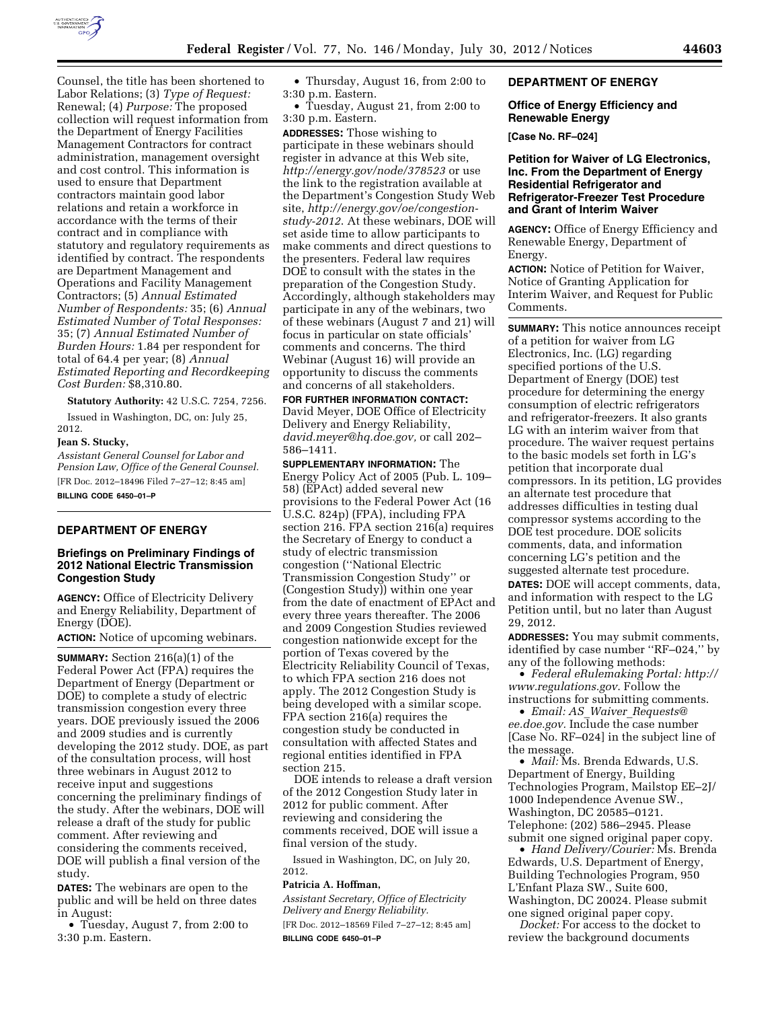

Counsel, the title has been shortened to Labor Relations; (3) *Type of Request:*  Renewal; (4) *Purpose:* The proposed collection will request information from the Department of Energy Facilities Management Contractors for contract administration, management oversight and cost control. This information is used to ensure that Department contractors maintain good labor relations and retain a workforce in accordance with the terms of their contract and in compliance with statutory and regulatory requirements as identified by contract. The respondents are Department Management and Operations and Facility Management Contractors; (5) *Annual Estimated Number of Respondents:* 35; (6) *Annual Estimated Number of Total Responses:*  35; (7) *Annual Estimated Number of Burden Hours:* 1.84 per respondent for total of 64.4 per year; (8) *Annual Estimated Reporting and Recordkeeping Cost Burden:* \$8,310.80.

**Statutory Authority:** 42 U.S.C. 7254, 7256.

Issued in Washington, DC, on: July 25, 2012.

#### **Jean S. Stucky,**

*Assistant General Counsel for Labor and Pension Law, Office of the General Counsel.*  [FR Doc. 2012–18496 Filed 7–27–12; 8:45 am] **BILLING CODE 6450–01–P** 

#### **DEPARTMENT OF ENERGY**

#### **Briefings on Preliminary Findings of 2012 National Electric Transmission Congestion Study**

**AGENCY:** Office of Electricity Delivery and Energy Reliability, Department of Energy (DOE).

**ACTION:** Notice of upcoming webinars.

**SUMMARY:** Section 216(a)(1) of the Federal Power Act (FPA) requires the Department of Energy (Department or DOE) to complete a study of electric transmission congestion every three years. DOE previously issued the 2006 and 2009 studies and is currently developing the 2012 study. DOE, as part of the consultation process, will host three webinars in August 2012 to receive input and suggestions concerning the preliminary findings of the study. After the webinars, DOE will release a draft of the study for public comment. After reviewing and considering the comments received, DOE will publish a final version of the study.

**DATES:** The webinars are open to the public and will be held on three dates in August:

• Tuesday, August 7, from 2:00 to 3:30 p.m. Eastern.

• Thursday, August 16, from 2:00 to 3:30 p.m. Eastern.

• Tuesday, August 21, from 2:00 to 3:30 p.m. Eastern.

**ADDRESSES:** Those wishing to participate in these webinars should register in advance at this Web site, *<http://energy.gov/node/378523>*or use the link to the registration available at the Department's Congestion Study Web site, *[http://energy.gov/oe/congestion](http://energy.gov/oe/congestion-study-2012)[study-2012](http://energy.gov/oe/congestion-study-2012)*. At these webinars, DOE will set aside time to allow participants to make comments and direct questions to the presenters. Federal law requires DOE to consult with the states in the preparation of the Congestion Study. Accordingly, although stakeholders may participate in any of the webinars, two of these webinars (August 7 and 21) will focus in particular on state officials' comments and concerns. The third Webinar (August 16) will provide an opportunity to discuss the comments and concerns of all stakeholders.

**FOR FURTHER INFORMATION CONTACT:**  David Meyer, DOE Office of Electricity Delivery and Energy Reliability, *[david.meyer@hq.doe.gov,](mailto:david.meyer@hq.doe.gov)* or call 202– 586–1411.

**SUPPLEMENTARY INFORMATION:** The Energy Policy Act of 2005 (Pub. L. 109– 58) (EPAct) added several new provisions to the Federal Power Act (16 U.S.C. 824p) (FPA), including FPA section 216. FPA section 216(a) requires the Secretary of Energy to conduct a study of electric transmission congestion (''National Electric Transmission Congestion Study'' or (Congestion Study)) within one year from the date of enactment of EPAct and every three years thereafter. The 2006 and 2009 Congestion Studies reviewed congestion nationwide except for the portion of Texas covered by the Electricity Reliability Council of Texas, to which FPA section 216 does not apply. The 2012 Congestion Study is being developed with a similar scope. FPA section 216(a) requires the congestion study be conducted in consultation with affected States and regional entities identified in FPA section 215.

DOE intends to release a draft version of the 2012 Congestion Study later in 2012 for public comment. After reviewing and considering the comments received, DOE will issue a final version of the study.

Issued in Washington, DC, on July 20, 2012.

#### **Patricia A. Hoffman,**

*Assistant Secretary, Office of Electricity Delivery and Energy Reliability.*  [FR Doc. 2012–18569 Filed 7–27–12; 8:45 am] **BILLING CODE 6450–01–P** 

#### **DEPARTMENT OF ENERGY**

## **Office of Energy Efficiency and Renewable Energy**

**[Case No. RF–024]** 

**Petition for Waiver of LG Electronics, Inc. From the Department of Energy Residential Refrigerator and Refrigerator-Freezer Test Procedure and Grant of Interim Waiver** 

**AGENCY:** Office of Energy Efficiency and Renewable Energy, Department of Energy.

**ACTION:** Notice of Petition for Waiver, Notice of Granting Application for Interim Waiver, and Request for Public Comments.

**SUMMARY:** This notice announces receipt of a petition for waiver from LG Electronics, Inc. (LG) regarding specified portions of the U.S. Department of Energy (DOE) test procedure for determining the energy consumption of electric refrigerators and refrigerator-freezers. It also grants LG with an interim waiver from that procedure. The waiver request pertains to the basic models set forth in LG's petition that incorporate dual compressors. In its petition, LG provides an alternate test procedure that addresses difficulties in testing dual compressor systems according to the DOE test procedure. DOE solicits comments, data, and information concerning LG's petition and the suggested alternate test procedure.

**DATES:** DOE will accept comments, data, and information with respect to the LG Petition until, but no later than August 29, 2012.

**ADDRESSES:** You may submit comments, identified by case number ''RF–024,'' by any of the following methods:

• *Federal eRulemaking Portal: [http://](http://www.regulations.gov)  [www.regulations.gov](http://www.regulations.gov)*. Follow the instructions for submitting comments.

• *Email: AS*\_*Waiver*\_*[Requests@](mailto:AS_Waiver_Requests@ee.doe.gov)  [ee.doe.gov.](mailto:AS_Waiver_Requests@ee.doe.gov)* Include the case number [Case No. RF–024] in the subject line of the message.

• *Mail:* Ms. Brenda Edwards, U.S. Department of Energy, Building Technologies Program, Mailstop EE–2J/ 1000 Independence Avenue SW., Washington, DC 20585–0121. Telephone: (202) 586–2945. Please submit one signed original paper copy.

• *Hand Delivery/Courier:* Ms. Brenda Edwards, U.S. Department of Energy, Building Technologies Program, 950 L'Enfant Plaza SW., Suite 600, Washington, DC 20024. Please submit one signed original paper copy.

*Docket:* For access to the docket to review the background documents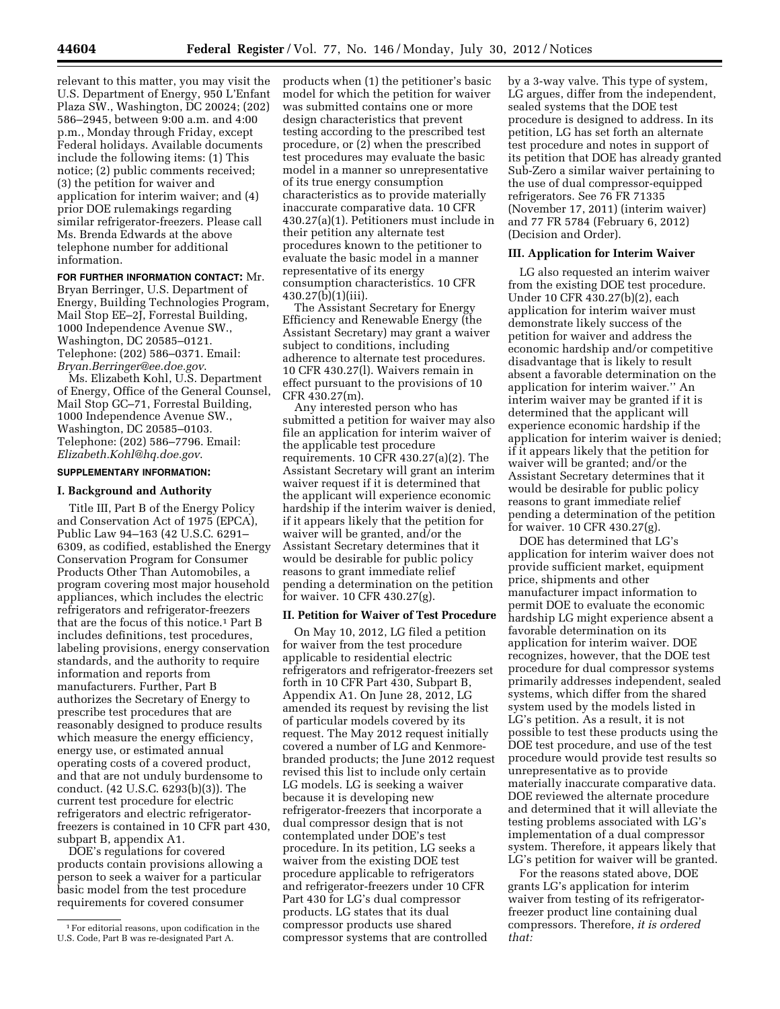relevant to this matter, you may visit the U.S. Department of Energy, 950 L'Enfant Plaza SW., Washington, DC 20024; (202) 586–2945, between 9:00 a.m. and 4:00 p.m., Monday through Friday, except Federal holidays. Available documents include the following items: (1) This notice; (2) public comments received; (3) the petition for waiver and application for interim waiver; and (4) prior DOE rulemakings regarding similar refrigerator-freezers. Please call Ms. Brenda Edwards at the above telephone number for additional information.

#### **FOR FURTHER INFORMATION CONTACT:** Mr.

Bryan Berringer, U.S. Department of Energy, Building Technologies Program, Mail Stop EE–2J, Forrestal Building, 1000 Independence Avenue SW., Washington, DC 20585–0121. Telephone: (202) 586–0371. Email: *[Bryan.Berringer@ee.doe.gov](mailto:Bryan.Berringer@ee.doe.gov)*.

Ms. Elizabeth Kohl, U.S. Department of Energy, Office of the General Counsel, Mail Stop GC–71, Forrestal Building, 1000 Independence Avenue SW., Washington, DC 20585–0103. Telephone: (202) 586–7796. Email: *[Elizabeth.Kohl@hq.doe.gov](mailto:Elizabeth.Kohl@hq.doe.gov)*.

## **SUPPLEMENTARY INFORMATION:**

## **I. Background and Authority**

Title III, Part B of the Energy Policy and Conservation Act of 1975 (EPCA), Public Law 94–163 (42 U.S.C. 6291– 6309, as codified, established the Energy Conservation Program for Consumer Products Other Than Automobiles, a program covering most major household appliances, which includes the electric refrigerators and refrigerator-freezers that are the focus of this notice.1 Part B includes definitions, test procedures, labeling provisions, energy conservation standards, and the authority to require information and reports from manufacturers. Further, Part B authorizes the Secretary of Energy to prescribe test procedures that are reasonably designed to produce results which measure the energy efficiency, energy use, or estimated annual operating costs of a covered product, and that are not unduly burdensome to conduct. (42 U.S.C. 6293(b)(3)). The current test procedure for electric refrigerators and electric refrigeratorfreezers is contained in 10 CFR part 430, subpart B, appendix A1.

DOE's regulations for covered products contain provisions allowing a person to seek a waiver for a particular basic model from the test procedure requirements for covered consumer

products when (1) the petitioner's basic model for which the petition for waiver was submitted contains one or more design characteristics that prevent testing according to the prescribed test procedure, or (2) when the prescribed test procedures may evaluate the basic model in a manner so unrepresentative of its true energy consumption characteristics as to provide materially inaccurate comparative data. 10 CFR 430.27(a)(1). Petitioners must include in their petition any alternate test procedures known to the petitioner to evaluate the basic model in a manner representative of its energy consumption characteristics. 10 CFR 430.27(b)(1)(iii).

The Assistant Secretary for Energy Efficiency and Renewable Energy (the Assistant Secretary) may grant a waiver subject to conditions, including adherence to alternate test procedures. 10 CFR 430.27(l). Waivers remain in effect pursuant to the provisions of 10 CFR 430.27(m).

Any interested person who has submitted a petition for waiver may also file an application for interim waiver of the applicable test procedure requirements. 10 CFR 430.27(a)(2). The Assistant Secretary will grant an interim waiver request if it is determined that the applicant will experience economic hardship if the interim waiver is denied, if it appears likely that the petition for waiver will be granted, and/or the Assistant Secretary determines that it would be desirable for public policy reasons to grant immediate relief pending a determination on the petition for waiver. 10 CFR 430.27(g).

#### **II. Petition for Waiver of Test Procedure**

On May 10, 2012, LG filed a petition for waiver from the test procedure applicable to residential electric refrigerators and refrigerator-freezers set forth in 10 CFR Part 430, Subpart B, Appendix A1. On June 28, 2012, LG amended its request by revising the list of particular models covered by its request. The May 2012 request initially covered a number of LG and Kenmorebranded products; the June 2012 request revised this list to include only certain LG models. LG is seeking a waiver because it is developing new refrigerator-freezers that incorporate a dual compressor design that is not contemplated under DOE's test procedure. In its petition, LG seeks a waiver from the existing DOE test procedure applicable to refrigerators and refrigerator-freezers under 10 CFR Part 430 for LG's dual compressor products. LG states that its dual compressor products use shared compressor systems that are controlled

by a 3-way valve. This type of system, LG argues, differ from the independent, sealed systems that the DOE test procedure is designed to address. In its petition, LG has set forth an alternate test procedure and notes in support of its petition that DOE has already granted Sub-Zero a similar waiver pertaining to the use of dual compressor-equipped refrigerators. See 76 FR 71335 (November 17, 2011) (interim waiver) and 77 FR 5784 (February 6, 2012) (Decision and Order).

#### **III. Application for Interim Waiver**

LG also requested an interim waiver from the existing DOE test procedure. Under 10 CFR 430.27(b)(2), each application for interim waiver must demonstrate likely success of the petition for waiver and address the economic hardship and/or competitive disadvantage that is likely to result absent a favorable determination on the application for interim waiver.'' An interim waiver may be granted if it is determined that the applicant will experience economic hardship if the application for interim waiver is denied; if it appears likely that the petition for waiver will be granted; and/or the Assistant Secretary determines that it would be desirable for public policy reasons to grant immediate relief pending a determination of the petition for waiver. 10 CFR 430.27(g).

DOE has determined that LG's application for interim waiver does not provide sufficient market, equipment price, shipments and other manufacturer impact information to permit DOE to evaluate the economic hardship LG might experience absent a favorable determination on its application for interim waiver. DOE recognizes, however, that the DOE test procedure for dual compressor systems primarily addresses independent, sealed systems, which differ from the shared system used by the models listed in LG's petition. As a result, it is not possible to test these products using the DOE test procedure, and use of the test procedure would provide test results so unrepresentative as to provide materially inaccurate comparative data. DOE reviewed the alternate procedure and determined that it will alleviate the testing problems associated with LG's implementation of a dual compressor system. Therefore, it appears likely that LG's petition for waiver will be granted.

For the reasons stated above, DOE grants LG's application for interim waiver from testing of its refrigeratorfreezer product line containing dual compressors. Therefore, *it is ordered that:* 

<sup>1</sup>For editorial reasons, upon codification in the U.S. Code, Part B was re-designated Part A.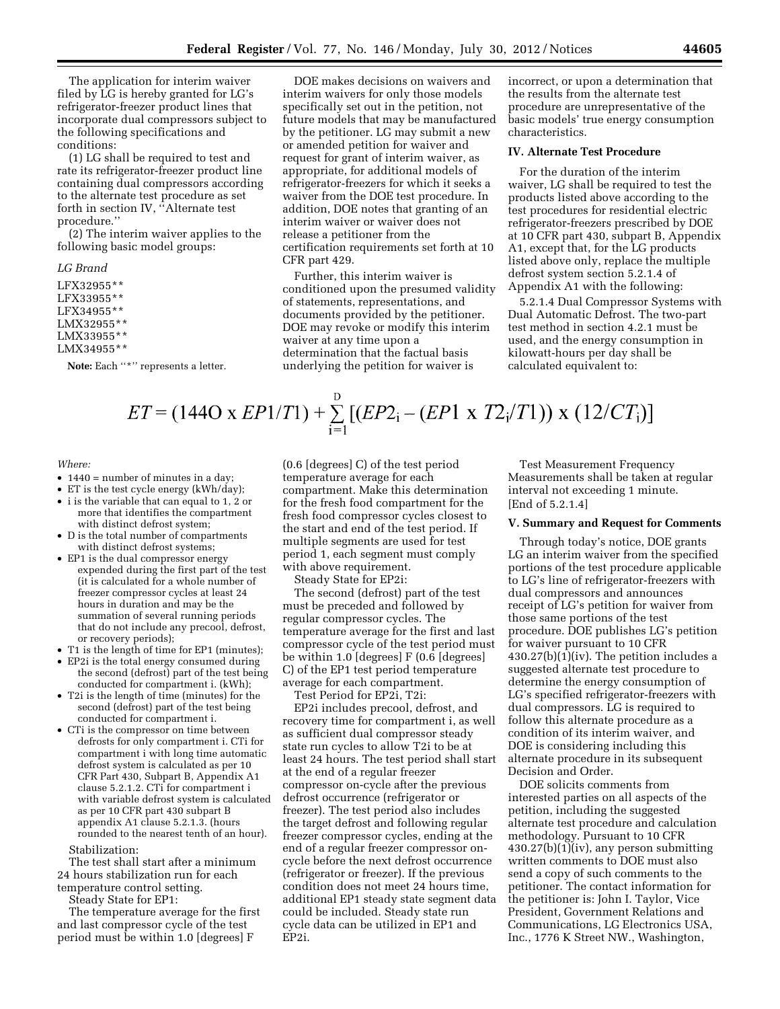The application for interim waiver filed by LG is hereby granted for LG's refrigerator-freezer product lines that incorporate dual compressors subject to the following specifications and conditions:

(1) LG shall be required to test and rate its refrigerator-freezer product line containing dual compressors according to the alternate test procedure as set forth in section IV, ''Alternate test procedure.''

(2) The interim waiver applies to the following basic model groups:

#### *LG Brand*

LFX32955\*\* LFX33955\*\* LFX34955\*\* LMX32955\*\* LMX33955\*\*

#### LMX34955\*\*

**Note:** Each ''\*'' represents a letter.

DOE makes decisions on waivers and interim waivers for only those models specifically set out in the petition, not future models that may be manufactured by the petitioner. LG may submit a new or amended petition for waiver and request for grant of interim waiver, as appropriate, for additional models of refrigerator-freezers for which it seeks a waiver from the DOE test procedure. In addition, DOE notes that granting of an interim waiver or waiver does not release a petitioner from the certification requirements set forth at 10 CFR part 429.

Further, this interim waiver is conditioned upon the presumed validity of statements, representations, and documents provided by the petitioner. DOE may revoke or modify this interim waiver at any time upon a determination that the factual basis underlying the petition for waiver is

incorrect, or upon a determination that the results from the alternate test procedure are unrepresentative of the basic models' true energy consumption characteristics.

## **IV. Alternate Test Procedure**

For the duration of the interim waiver, LG shall be required to test the products listed above according to the test procedures for residential electric refrigerator-freezers prescribed by DOE at 10 CFR part 430, subpart B, Appendix A1, except that, for the LG products listed above only, replace the multiple defrost system section 5.2.1.4 of Appendix A1 with the following:

5.2.1.4 Dual Compressor Systems with Dual Automatic Defrost. The two-part test method in section 4.2.1 must be used, and the energy consumption in kilowatt-hours per day shall be calculated equivalent to:

## $ET = (144O \times EP1/T1) + \sum_{i=1}^{D} [(EP2_i - (EP1 \times T2_i/T1)) \times (12/CT_i)]$

#### *Where:*

- 1440 = number of minutes in a day:
- ET is the test cycle energy (kWh/day);
- i is the variable that can equal to 1, 2 or more that identifies the compartment with distinct defrost system;
- D is the total number of compartments with distinct defrost systems;
- EP1 is the dual compressor energy expended during the first part of the test (it is calculated for a whole number of freezer compressor cycles at least 24 hours in duration and may be the summation of several running periods that do not include any precool, defrost, or recovery periods);
- T1 is the length of time for EP1 (minutes);
- EP2i is the total energy consumed during the second (defrost) part of the test being conducted for compartment i. (kWh);
- T2i is the length of time (minutes) for the second (defrost) part of the test being conducted for compartment i.
- CTi is the compressor on time between defrosts for only compartment i. CTi for compartment i with long time automatic defrost system is calculated as per 10 CFR Part 430, Subpart B, Appendix A1 clause 5.2.1.2. CTi for compartment i with variable defrost system is calculated as per 10 CFR part 430 subpart B appendix A1 clause 5.2.1.3. (hours rounded to the nearest tenth of an hour).

#### Stabilization:

The test shall start after a minimum 24 hours stabilization run for each temperature control setting.

Steady State for EP1:

The temperature average for the first and last compressor cycle of the test period must be within 1.0 [degrees] F

(0.6 [degrees] C) of the test period temperature average for each compartment. Make this determination for the fresh food compartment for the fresh food compressor cycles closest to the start and end of the test period. If multiple segments are used for test period 1, each segment must comply with above requirement.

Steady State for EP2i:

The second (defrost) part of the test must be preceded and followed by regular compressor cycles. The temperature average for the first and last compressor cycle of the test period must be within 1.0 [degrees] F (0.6 [degrees] C) of the EP1 test period temperature average for each compartment.

Test Period for EP2i, T2i:

EP2i includes precool, defrost, and recovery time for compartment i, as well as sufficient dual compressor steady state run cycles to allow T2i to be at least 24 hours. The test period shall start at the end of a regular freezer compressor on-cycle after the previous defrost occurrence (refrigerator or freezer). The test period also includes the target defrost and following regular freezer compressor cycles, ending at the end of a regular freezer compressor oncycle before the next defrost occurrence (refrigerator or freezer). If the previous condition does not meet 24 hours time, additional EP1 steady state segment data could be included. Steady state run cycle data can be utilized in EP1 and EP2i.

Test Measurement Frequency Measurements shall be taken at regular interval not exceeding 1 minute. [End of 5.2.1.4]

#### **V. Summary and Request for Comments**

Through today's notice, DOE grants LG an interim waiver from the specified portions of the test procedure applicable to LG's line of refrigerator-freezers with dual compressors and announces receipt of LG's petition for waiver from those same portions of the test procedure. DOE publishes LG's petition for waiver pursuant to 10 CFR 430.27(b)(1)(iv). The petition includes a suggested alternate test procedure to determine the energy consumption of LG's specified refrigerator-freezers with dual compressors. LG is required to follow this alternate procedure as a condition of its interim waiver, and DOE is considering including this alternate procedure in its subsequent Decision and Order.

DOE solicits comments from interested parties on all aspects of the petition, including the suggested alternate test procedure and calculation methodology. Pursuant to 10 CFR 430.27(b)(1)(iv), any person submitting written comments to DOE must also send a copy of such comments to the petitioner. The contact information for the petitioner is: John I. Taylor, Vice President, Government Relations and Communications, LG Electronics USA, Inc., 1776 K Street NW., Washington,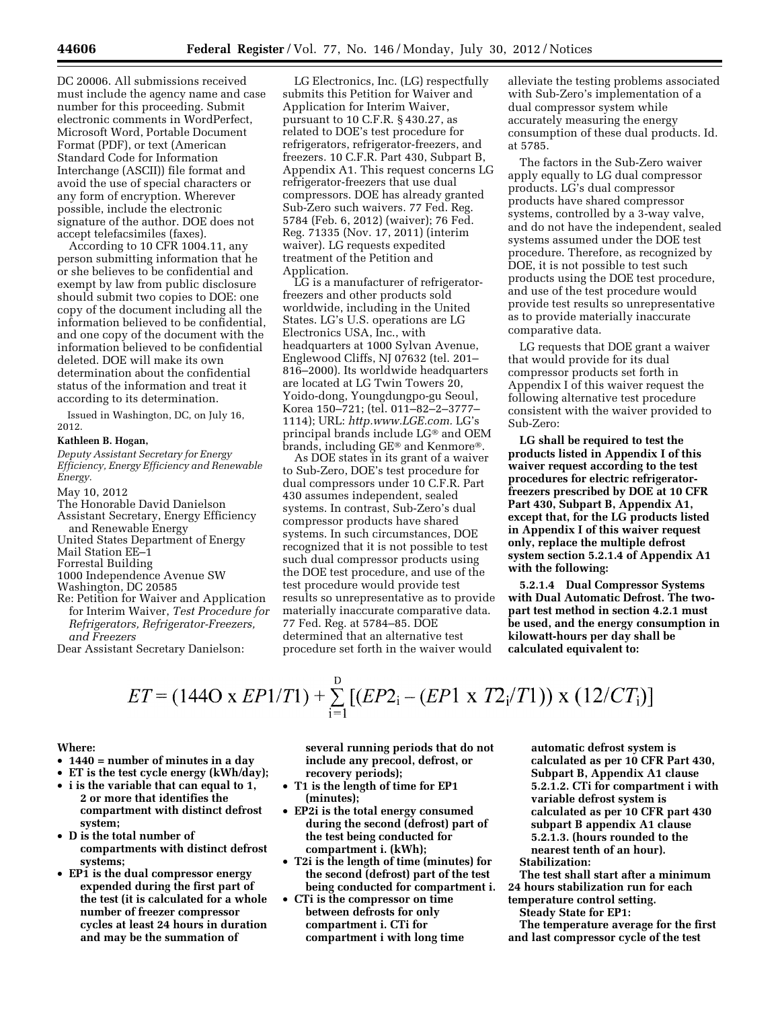DC 20006. All submissions received must include the agency name and case number for this proceeding. Submit electronic comments in WordPerfect, Microsoft Word, Portable Document Format (PDF), or text (American Standard Code for Information Interchange (ASCII)) file format and avoid the use of special characters or any form of encryption. Wherever possible, include the electronic signature of the author. DOE does not accept telefacsimiles (faxes).

According to 10 CFR 1004.11, any person submitting information that he or she believes to be confidential and exempt by law from public disclosure should submit two copies to DOE: one copy of the document including all the information believed to be confidential, and one copy of the document with the information believed to be confidential deleted. DOE will make its own determination about the confidential status of the information and treat it according to its determination.

Issued in Washington, DC, on July 16, 2012.

## **Kathleen B. Hogan,**

*Deputy Assistant Secretary for Energy Efficiency, Energy Efficiency and Renewable Energy.* 

May 10, 2012

The Honorable David Danielson Assistant Secretary, Energy Efficiency and Renewable Energy

United States Department of Energy

Mail Station EE–1

Forrestal Building

1000 Independence Avenue SW

Washington, DC 20585

Re: Petition for Waiver and Application for Interim Waiver, *Test Procedure for Refrigerators, Refrigerator-Freezers, and Freezers* 

Dear Assistant Secretary Danielson:

LG Electronics, Inc. (LG) respectfully submits this Petition for Waiver and Application for Interim Waiver, pursuant to 10 C.F.R. § 430.27, as related to DOE's test procedure for refrigerators, refrigerator-freezers, and freezers. 10 C.F.R. Part 430, Subpart B, Appendix A1. This request concerns LG refrigerator-freezers that use dual compressors. DOE has already granted Sub-Zero such waivers. 77 Fed. Reg. 5784 (Feb. 6, 2012) (waiver); 76 Fed. Reg. 71335 (Nov. 17, 2011) (interim waiver). LG requests expedited treatment of the Petition and Application.

LG is a manufacturer of refrigeratorfreezers and other products sold worldwide, including in the United States. LG's U.S. operations are LG Electronics USA, Inc., with headquarters at 1000 Sylvan Avenue, Englewood Cliffs, NJ 07632 (tel. 201– 816–2000). Its worldwide headquarters are located at LG Twin Towers 20, Yoido-dong, Youngdungpo-gu Seoul, Korea 150–721; (tel. 011–82–2–3777– 1114); URL: *[http.www.LGE.com.](http://www.LGE.com)* LG's principal brands include LG® and OEM brands, including GE® and Kenmore®.

As DOE states in its grant of a waiver to Sub-Zero, DOE's test procedure for dual compressors under 10 C.F.R. Part 430 assumes independent, sealed systems. In contrast, Sub-Zero's dual compressor products have shared systems. In such circumstances, DOE recognized that it is not possible to test such dual compressor products using the DOE test procedure, and use of the test procedure would provide test results so unrepresentative as to provide materially inaccurate comparative data. 77 Fed. Reg. at 5784–85. DOE determined that an alternative test procedure set forth in the waiver would

alleviate the testing problems associated with Sub-Zero's implementation of a dual compressor system while accurately measuring the energy consumption of these dual products. Id. at 5785.

The factors in the Sub-Zero waiver apply equally to LG dual compressor products. LG's dual compressor products have shared compressor systems, controlled by a 3-way valve, and do not have the independent, sealed systems assumed under the DOE test procedure. Therefore, as recognized by DOE, it is not possible to test such products using the DOE test procedure, and use of the test procedure would provide test results so unrepresentative as to provide materially inaccurate comparative data.

LG requests that DOE grant a waiver that would provide for its dual compressor products set forth in Appendix I of this waiver request the following alternative test procedure consistent with the waiver provided to Sub-Zero:

**LG shall be required to test the products listed in Appendix I of this waiver request according to the test procedures for electric refrigeratorfreezers prescribed by DOE at 10 CFR Part 430, Subpart B, Appendix A1, except that, for the LG products listed in Appendix I of this waiver request only, replace the multiple defrost system section 5.2.1.4 of Appendix A1 with the following:** 

**5.2.1.4 Dual Compressor Systems with Dual Automatic Defrost. The twopart test method in section 4.2.1 must be used, and the energy consumption in kilowatt-hours per day shall be calculated equivalent to:** 

# $ET = (144O \times EP1/T1) + \sum_{i=1}^{D} [(EP2_i - (EP1 \times T2_i/T1)) \times (12/CT_i)]$

#### **Where:**

- **1440 = number of minutes in a day**
- **ET is the test cycle energy (kWh/day);**
- **i is the variable that can equal to 1, 2 or more that identifies the compartment with distinct defrost system;**
- **D is the total number of compartments with distinct defrost systems;**
- **EP1 is the dual compressor energy expended during the first part of the test (it is calculated for a whole number of freezer compressor cycles at least 24 hours in duration and may be the summation of**

**several running periods that do not include any precool, defrost, or recovery periods);** 

- **T1 is the length of time for EP1 (minutes);**
- **EP2i is the total energy consumed during the second (defrost) part of the test being conducted for compartment i. (kWh);**
- **T2i is the length of time (minutes) for the second (defrost) part of the test being conducted for compartment i.**
- **CTi is the compressor on time between defrosts for only compartment i. CTi for compartment i with long time**

**automatic defrost system is calculated as per 10 CFR Part 430, Subpart B, Appendix A1 clause 5.2.1.2. CTi for compartment i with variable defrost system is calculated as per 10 CFR part 430 subpart B appendix A1 clause 5.2.1.3. (hours rounded to the nearest tenth of an hour).** 

**Stabilization:** 

**The test shall start after a minimum 24 hours stabilization run for each** 

**temperature control setting. Steady State for EP1:** 

**The temperature average for the first and last compressor cycle of the test**